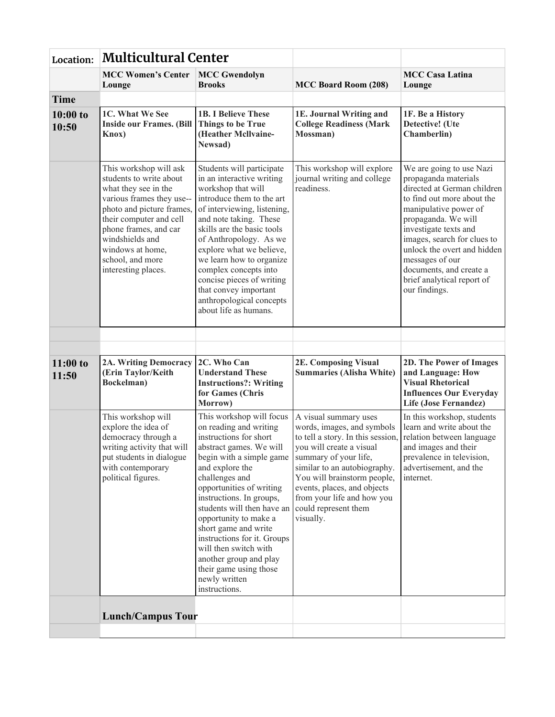| Location:           | <b>Multicultural Center</b>                                                                                                                                                                                                                                               |                                                                                                                                                                                                                                                                                                                                                                                                                                                               |                                                                                                                                                                                                                                                                                                                |                                                                                                                                                                                                                                                                                                                                                   |
|---------------------|---------------------------------------------------------------------------------------------------------------------------------------------------------------------------------------------------------------------------------------------------------------------------|---------------------------------------------------------------------------------------------------------------------------------------------------------------------------------------------------------------------------------------------------------------------------------------------------------------------------------------------------------------------------------------------------------------------------------------------------------------|----------------------------------------------------------------------------------------------------------------------------------------------------------------------------------------------------------------------------------------------------------------------------------------------------------------|---------------------------------------------------------------------------------------------------------------------------------------------------------------------------------------------------------------------------------------------------------------------------------------------------------------------------------------------------|
|                     | <b>MCC Women's Center</b><br>Lounge                                                                                                                                                                                                                                       | <b>MCC Gwendolyn</b><br><b>Brooks</b>                                                                                                                                                                                                                                                                                                                                                                                                                         | <b>MCC Board Room (208)</b>                                                                                                                                                                                                                                                                                    | <b>MCC Casa Latina</b><br>Lounge                                                                                                                                                                                                                                                                                                                  |
| <b>Time</b>         |                                                                                                                                                                                                                                                                           |                                                                                                                                                                                                                                                                                                                                                                                                                                                               |                                                                                                                                                                                                                                                                                                                |                                                                                                                                                                                                                                                                                                                                                   |
| $10:00$ to<br>10:50 | 1C. What We See<br><b>Inside our Frames. (Bill</b><br>Knox)                                                                                                                                                                                                               | <b>1B. I Believe These</b><br><b>Things to be True</b><br>(Heather Mcllvaine-<br>Newsad)                                                                                                                                                                                                                                                                                                                                                                      | 1E. Journal Writing and<br><b>College Readiness (Mark</b><br>Mossman)                                                                                                                                                                                                                                          | 1F. Be a History<br>Detective! (Ute<br>Chamberlin)                                                                                                                                                                                                                                                                                                |
|                     | This workshop will ask<br>students to write about<br>what they see in the<br>various frames they use--<br>photo and picture frames,<br>their computer and cell<br>phone frames, and car<br>windshields and<br>windows at home,<br>school, and more<br>interesting places. | Students will participate<br>in an interactive writing<br>workshop that will<br>introduce them to the art<br>of interviewing, listening,<br>and note taking. These<br>skills are the basic tools<br>of Anthropology. As we<br>explore what we believe,<br>we learn how to organize<br>complex concepts into<br>concise pieces of writing<br>that convey important<br>anthropological concepts<br>about life as humans.                                        | This workshop will explore<br>journal writing and college<br>readiness.                                                                                                                                                                                                                                        | We are going to use Nazi<br>propaganda materials<br>directed at German children<br>to find out more about the<br>manipulative power of<br>propaganda. We will<br>investigate texts and<br>images, search for clues to<br>unlock the overt and hidden<br>messages of our<br>documents, and create a<br>brief analytical report of<br>our findings. |
|                     |                                                                                                                                                                                                                                                                           |                                                                                                                                                                                                                                                                                                                                                                                                                                                               |                                                                                                                                                                                                                                                                                                                |                                                                                                                                                                                                                                                                                                                                                   |
| $11:00$ to<br>11:50 | 2A. Writing Democracy<br>(Erin Taylor/Keith<br>Bockelman)                                                                                                                                                                                                                 | 2C. Who Can<br><b>Understand These</b><br><b>Instructions?: Writing</b><br>for Games (Chris<br>Morrow)                                                                                                                                                                                                                                                                                                                                                        | <b>2E. Composing Visual</b><br><b>Summaries (Alisha White)</b>                                                                                                                                                                                                                                                 | <b>2D. The Power of Images</b><br>and Language: How<br><b>Visual Rhetorical</b><br><b>Influences Our Everyday</b><br><b>Life (Jose Fernandez)</b>                                                                                                                                                                                                 |
|                     | This workshop will<br>explore the idea of<br>democracy through a<br>writing activity that will<br>put students in dialogue<br>with contemporary<br>political figures.                                                                                                     | This workshop will focus<br>on reading and writing<br>instructions for short<br>abstract games. We will<br>begin with a simple game<br>and explore the<br>challenges and<br>opportunities of writing<br>instructions. In groups,<br>students will then have an<br>opportunity to make a<br>short game and write<br>instructions for it. Groups<br>will then switch with<br>another group and play<br>their game using those<br>newly written<br>instructions. | A visual summary uses<br>words, images, and symbols<br>to tell a story. In this session,<br>you will create a visual<br>summary of your life,<br>similar to an autobiography.<br>You will brainstorm people,<br>events, places, and objects<br>from your life and how you<br>could represent them<br>visually. | In this workshop, students<br>learn and write about the<br>relation between language<br>and images and their<br>prevalence in television,<br>advertisement, and the<br>internet.                                                                                                                                                                  |
|                     | <b>Lunch/Campus Tour</b>                                                                                                                                                                                                                                                  |                                                                                                                                                                                                                                                                                                                                                                                                                                                               |                                                                                                                                                                                                                                                                                                                |                                                                                                                                                                                                                                                                                                                                                   |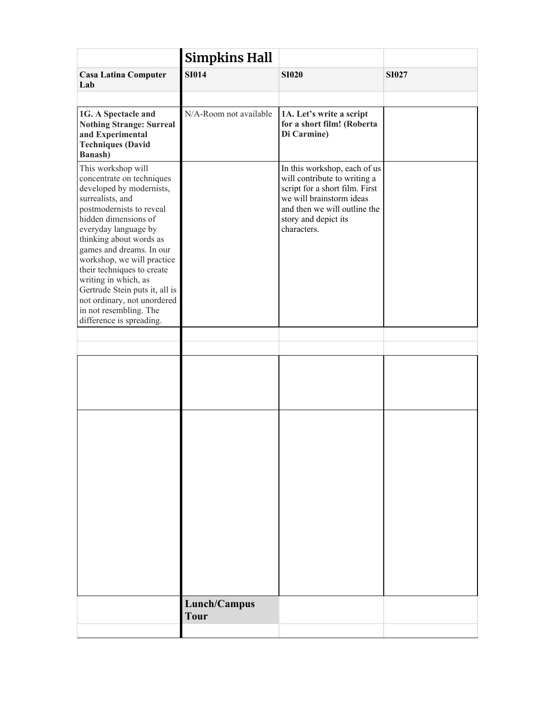|                                                                                                                                                                                                                                                                                                                                                                                                                   | <b>Simpkins Hall</b>        |                                                                                                                                                                                                   |              |
|-------------------------------------------------------------------------------------------------------------------------------------------------------------------------------------------------------------------------------------------------------------------------------------------------------------------------------------------------------------------------------------------------------------------|-----------------------------|---------------------------------------------------------------------------------------------------------------------------------------------------------------------------------------------------|--------------|
| <b>Casa Latina Computer</b><br>Lab                                                                                                                                                                                                                                                                                                                                                                                | <b>SI014</b>                | <b>SI020</b>                                                                                                                                                                                      | <b>SI027</b> |
|                                                                                                                                                                                                                                                                                                                                                                                                                   |                             |                                                                                                                                                                                                   |              |
| 1G. A Spectacle and<br><b>Nothing Strange: Surreal</b><br>and Experimental<br><b>Techniques (David</b><br>Banash)                                                                                                                                                                                                                                                                                                 | N/A-Room not available      | 1A. Let's write a script<br>for a short film! (Roberta<br>Di Carmine)                                                                                                                             |              |
| This workshop will<br>concentrate on techniques<br>developed by modernists,<br>surrealists, and<br>postmodernists to reveal<br>hidden dimensions of<br>everyday language by<br>thinking about words as<br>games and dreams. In our<br>workshop, we will practice<br>their techniques to create<br>writing in which, as<br>Gertrude Stein puts it, all is<br>not ordinary, not unordered<br>in not resembling. The |                             | In this workshop, each of us<br>will contribute to writing a<br>script for a short film. First<br>we will brainstorm ideas<br>and then we will outline the<br>story and depict its<br>characters. |              |
| difference is spreading.                                                                                                                                                                                                                                                                                                                                                                                          |                             |                                                                                                                                                                                                   |              |
|                                                                                                                                                                                                                                                                                                                                                                                                                   |                             |                                                                                                                                                                                                   |              |
|                                                                                                                                                                                                                                                                                                                                                                                                                   |                             |                                                                                                                                                                                                   |              |
|                                                                                                                                                                                                                                                                                                                                                                                                                   |                             |                                                                                                                                                                                                   |              |
|                                                                                                                                                                                                                                                                                                                                                                                                                   | Lunch/Campus<br><b>Tour</b> |                                                                                                                                                                                                   |              |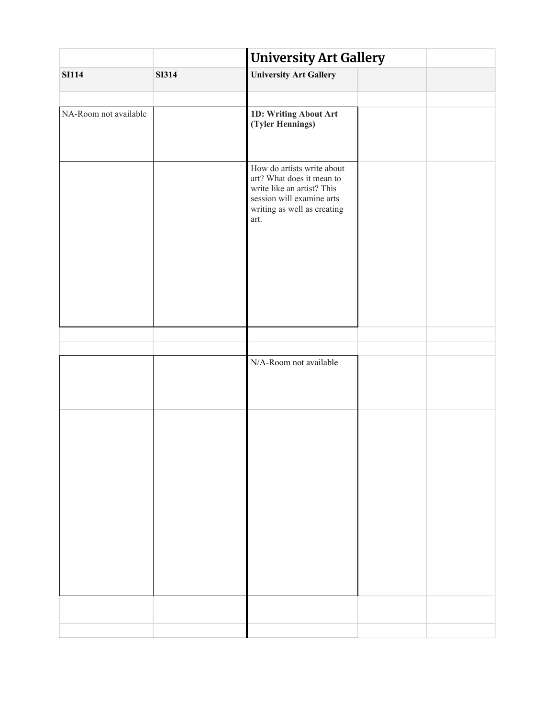|                       |              | <b>University Art Gallery</b>                                                                                                                             |  |  |
|-----------------------|--------------|-----------------------------------------------------------------------------------------------------------------------------------------------------------|--|--|
| <b>SI114</b>          | <b>SI314</b> | <b>University Art Gallery</b>                                                                                                                             |  |  |
|                       |              |                                                                                                                                                           |  |  |
| NA-Room not available |              | 1D: Writing About Art<br>(Tyler Hennings)                                                                                                                 |  |  |
|                       |              | How do artists write about<br>art? What does it mean to<br>write like an artist? This<br>session will examine arts<br>writing as well as creating<br>art. |  |  |
|                       |              |                                                                                                                                                           |  |  |
|                       |              |                                                                                                                                                           |  |  |
|                       |              | N/A-Room not available                                                                                                                                    |  |  |
|                       |              |                                                                                                                                                           |  |  |
|                       |              |                                                                                                                                                           |  |  |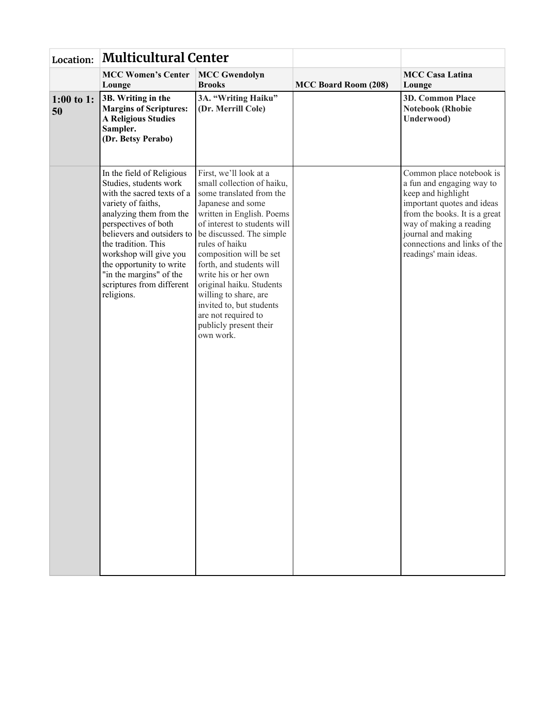| Location:        | <b>Multicultural Center</b>                                                                                                                                                                                                                                                                                                                 |                                                                                                                                                                                                                                                                                                                                                                                                                                                |                             |                                                                                                                                                                                                                                                      |
|------------------|---------------------------------------------------------------------------------------------------------------------------------------------------------------------------------------------------------------------------------------------------------------------------------------------------------------------------------------------|------------------------------------------------------------------------------------------------------------------------------------------------------------------------------------------------------------------------------------------------------------------------------------------------------------------------------------------------------------------------------------------------------------------------------------------------|-----------------------------|------------------------------------------------------------------------------------------------------------------------------------------------------------------------------------------------------------------------------------------------------|
|                  | <b>MCC Women's Center</b><br>Lounge                                                                                                                                                                                                                                                                                                         | <b>MCC Gwendolyn</b><br><b>Brooks</b>                                                                                                                                                                                                                                                                                                                                                                                                          | <b>MCC Board Room (208)</b> | <b>MCC Casa Latina</b><br>Lounge                                                                                                                                                                                                                     |
| 1:00 to 1:<br>50 | 3B. Writing in the<br><b>Margins of Scriptures:</b><br><b>A Religious Studies</b><br>Sampler.<br>(Dr. Betsy Perabo)                                                                                                                                                                                                                         | 3A. "Writing Haiku"<br>(Dr. Merrill Cole)                                                                                                                                                                                                                                                                                                                                                                                                      |                             | <b>3D. Common Place</b><br><b>Notebook (Rhobie</b><br>Underwood)                                                                                                                                                                                     |
|                  | In the field of Religious<br>Studies, students work<br>with the sacred texts of a<br>variety of faiths,<br>analyzing them from the<br>perspectives of both<br>believers and outsiders to<br>the tradition. This<br>workshop will give you<br>the opportunity to write<br>"in the margins" of the<br>scriptures from different<br>religions. | First, we'll look at a<br>small collection of haiku,<br>some translated from the<br>Japanese and some<br>written in English. Poems<br>of interest to students will<br>be discussed. The simple<br>rules of haiku<br>composition will be set<br>forth, and students will<br>write his or her own<br>original haiku. Students<br>willing to share, are<br>invited to, but students<br>are not required to<br>publicly present their<br>own work. |                             | Common place notebook is<br>a fun and engaging way to<br>keep and highlight<br>important quotes and ideas<br>from the books. It is a great<br>way of making a reading<br>journal and making<br>connections and links of the<br>readings' main ideas. |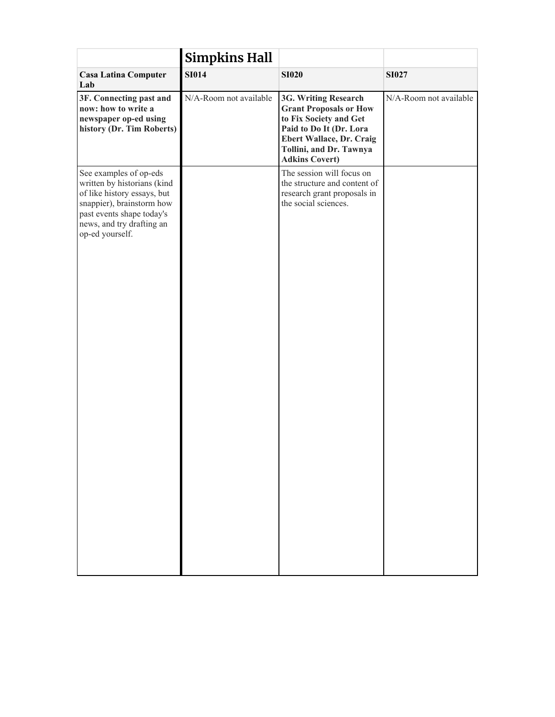|                                                                                                                                                                                                | <b>Simpkins Hall</b>   |                                                                                                                                                                                            |                        |
|------------------------------------------------------------------------------------------------------------------------------------------------------------------------------------------------|------------------------|--------------------------------------------------------------------------------------------------------------------------------------------------------------------------------------------|------------------------|
| <b>Casa Latina Computer</b><br>Lab                                                                                                                                                             | <b>SI014</b>           | <b>SI020</b>                                                                                                                                                                               | <b>SI027</b>           |
| 3F. Connecting past and<br>now: how to write a<br>newspaper op-ed using<br>history (Dr. Tim Roberts)                                                                                           | N/A-Room not available | 3G. Writing Research<br><b>Grant Proposals or How</b><br>to Fix Society and Get<br>Paid to Do It (Dr. Lora<br>Ebert Wallace, Dr. Craig<br>Tollini, and Dr. Tawnya<br><b>Adkins Covert)</b> | N/A-Room not available |
| See examples of op-eds<br>written by historians (kind<br>of like history essays, but<br>snappier), brainstorm how<br>past events shape today's<br>news, and try drafting an<br>op-ed yourself. |                        | The session will focus on<br>the structure and content of<br>research grant proposals in<br>the social sciences.                                                                           |                        |